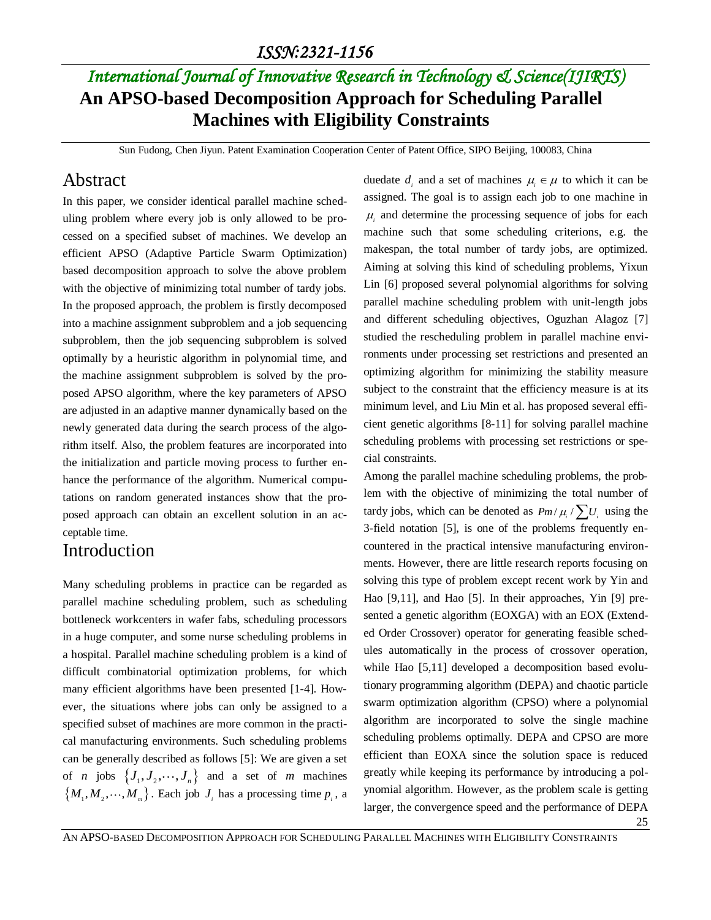### *ISSN:2321-1156*

# *International Journal of Innovative Research in Technology & Science(IJIRTS)* **An APSO-based Decomposition Approach for Scheduling Parallel Machines with Eligibility Constraints**

Sun Fudong, Chen Jiyun. Patent Examination Cooperation Center of Patent Office, SIPO Beijing, 100083, China

### Abstract

In this paper, we consider identical parallel machine scheduling problem where every job is only allowed to be processed on a specified subset of machines. We develop an efficient APSO (Adaptive Particle Swarm Optimization) based decomposition approach to solve the above problem with the objective of minimizing total number of tardy jobs. In the proposed approach, the problem is firstly decomposed into a machine assignment subproblem and a job sequencing subproblem, then the job sequencing subproblem is solved optimally by a heuristic algorithm in polynomial time, and the machine assignment subproblem is solved by the proposed APSO algorithm, where the key parameters of APSO are adjusted in an adaptive manner dynamically based on the newly generated data during the search process of the algorithm itself. Also, the problem features are incorporated into the initialization and particle moving process to further enhance the performance of the algorithm. Numerical computations on random generated instances show that the proposed approach can obtain an excellent solution in an acceptable time.

### Introduction

Many scheduling problems in practice can be regarded as parallel machine scheduling problem, such as scheduling bottleneck workcenters in wafer fabs, scheduling processors in a huge computer, and some nurse scheduling problems in a hospital. Parallel machine scheduling problem is a kind of difficult combinatorial optimization problems, for which many efficient algorithms have been presented [1-4]. However, the situations where jobs can only be assigned to a specified subset of machines are more common in the practical manufacturing environments. Such scheduling problems can be generally described as follows [5]: We are given a set of *n* jobs  $\{J_1, J_2, \dots, J_n\}$  and a set of *m* machines  $\{M_1, M_2, \cdots, M_m\}$ . Each job  $J_i$  has a processing time  $p_i$ , a

duedate  $d_i$  and a set of machines  $\mu_i \in \mu$  to which it can be assigned. The goal is to assign each job to one machine in  $\mu_i$  and determine the processing sequence of jobs for each machine such that some scheduling criterions, e.g. the makespan, the total number of tardy jobs, are optimized. Aiming at solving this kind of scheduling problems, Yixun Lin [6] proposed several polynomial algorithms for solving parallel machine scheduling problem with unit-length jobs and different scheduling objectives, Oguzhan Alagoz [7] studied the rescheduling problem in parallel machine environments under processing set restrictions and presented an optimizing algorithm for minimizing the stability measure subject to the constraint that the efficiency measure is at its minimum level, and Liu Min et al. has proposed several efficient genetic algorithms [8-11] for solving parallel machine scheduling problems with processing set restrictions or special constraints.

Among the parallel machine scheduling problems, the problem with the objective of minimizing the total number of tardy jobs, which can be denoted as  $Pm/\mu_i / \sum U_i$  using the 3-field notation [5], is one of the problems frequently encountered in the practical intensive manufacturing environments. However, there are little research reports focusing on solving this type of problem except recent work by Yin and Hao [9,11], and Hao [5]. In their approaches, Yin [9] presented a genetic algorithm (EOXGA) with an EOX (Extended Order Crossover) operator for generating feasible schedules automatically in the process of crossover operation, while Hao [5,11] developed a decomposition based evolutionary programming algorithm (DEPA) and chaotic particle swarm optimization algorithm (CPSO) where a polynomial algorithm are incorporated to solve the single machine scheduling problems optimally. DEPA and CPSO are more efficient than EOXA since the solution space is reduced greatly while keeping its performance by introducing a polynomial algorithm. However, as the problem scale is getting larger, the convergence speed and the performance of DEPA

25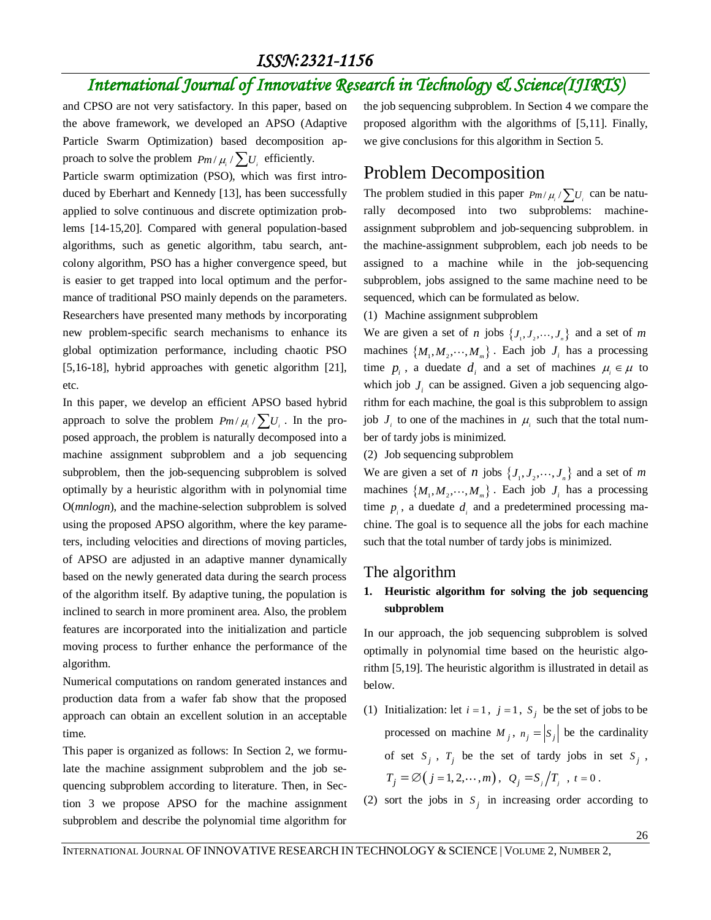### *ISSN:2321-1156*

# *International Journal of Innovative Research in Technology & Science(IJIRTS)*

and CPSO are not very satisfactory. In this paper, based on the above framework, we developed an APSO (Adaptive Particle Swarm Optimization) based decomposition approach to solve the problem  $Pm/\mu_i / \sum U_i$  efficiently.

Particle swarm optimization (PSO), which was first introduced by Eberhart and Kennedy [13], has been successfully applied to solve continuous and discrete optimization problems [14-15,20]. Compared with general population-based algorithms, such as genetic algorithm, tabu search, antcolony algorithm, PSO has a higher convergence speed, but is easier to get trapped into local optimum and the performance of traditional PSO mainly depends on the parameters. Researchers have presented many methods by incorporating new problem-specific search mechanisms to enhance its global optimization performance, including chaotic PSO [5,16-18], hybrid approaches with genetic algorithm [21], etc.

In this paper, we develop an efficient APSO based hybrid approach to solve the problem  $Pm/\mu_i / \sum U_i$ . In the proposed approach, the problem is naturally decomposed into a machine assignment subproblem and a job sequencing subproblem, then the job-sequencing subproblem is solved optimally by a heuristic algorithm with in polynomial time O(*mnlogn*), and the machine-selection subproblem is solved using the proposed APSO algorithm, where the key parameters, including velocities and directions of moving particles, of APSO are adjusted in an adaptive manner dynamically based on the newly generated data during the search process of the algorithm itself. By adaptive tuning, the population is inclined to search in more prominent area. Also, the problem features are incorporated into the initialization and particle moving process to further enhance the performance of the algorithm.

Numerical computations on random generated instances and production data from a wafer fab show that the proposed approach can obtain an excellent solution in an acceptable time.

This paper is organized as follows: In Section 2, we formulate the machine assignment subproblem and the job sequencing subproblem according to literature. Then, in Section 3 we propose APSO for the machine assignment subproblem and describe the polynomial time algorithm for

the job sequencing subproblem. In Section 4 we compare the proposed algorithm with the algorithms of [5,11]. Finally, we give conclusions for this algorithm in Section 5.

### Problem Decomposition

The problem studied in this paper  $Pm/\mu_i / \sum U_i$  can be naturally decomposed into two subproblems: machineassignment subproblem and job-sequencing subproblem. in the machine-assignment subproblem, each job needs to be assigned to a machine while in the job-sequencing subproblem, jobs assigned to the same machine need to be sequenced, which can be formulated as below.

(1) Machine assignment subproblem

We are given a set of *n* jobs  $\{J_1, J_2, \dots, J_n\}$  and a set of *m* machines  $\{M_1, M_2, \dots, M_m\}$ . Each job  $J_i$  has a processing time  $p_i$ , a duedate  $d_i$  and a set of machines  $\mu_i \in \mu$  to which job  $J_i$  can be assigned. Given a job sequencing algorithm for each machine, the goal is this subproblem to assign job  $J_i$  to one of the machines in  $\mu_i$  such that the total number of tardy jobs is minimized.

#### (2) Job sequencing subproblem

We are given a set of *n* jobs  $\{J_1, J_2, \dots, J_n\}$  and a set of *m* machines  $\{M_1, M_2, \dots, M_m\}$ . Each job  $J_i$  has a processing time  $p_i$ , a duedate  $d_i$  and a predetermined processing machine. The goal is to sequence all the jobs for each machine such that the total number of tardy jobs is minimized.

### The algorithm

### **1. Heuristic algorithm for solving the job sequencing subproblem**

In our approach, the job sequencing subproblem is solved optimally in polynomial time based on the heuristic algorithm [5,19]. The heuristic algorithm is illustrated in detail as below.

- (1) Initialization: let  $i = 1$ ,  $j = 1$ ,  $S_j$  be the set of jobs to be processed on machine  $M_j$ ,  $n_j = |S_j|$  be the cardinality of set  $S_j$ ,  $T_j$  be the set of tardy jobs in set  $S_j$ ,  $T_j = \emptyset (j = 1, 2, \dots, m), \ Q_j = S_j / T_j, \ t = 0.$
- (2) sort the jobs in  $S_j$  in increasing order according to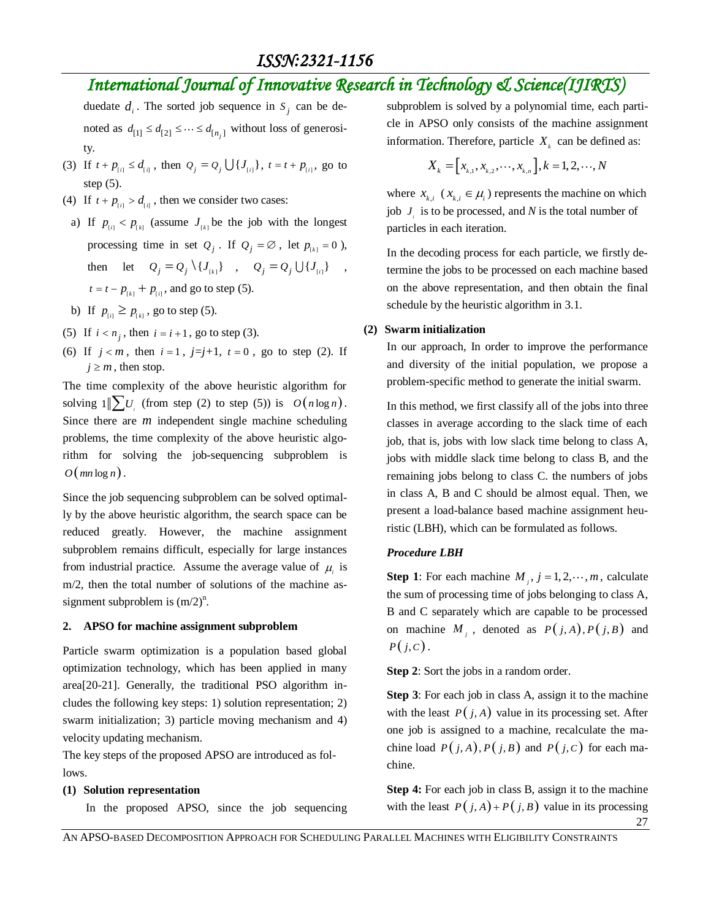# *International Journal of Innovative Research in Technology & Science(IJIRTS)*

duedate  $d_i$ . The sorted job sequence in  $S_j$  can be denoted as  $d_{[1]} \leq d_{[2]} \leq \cdots \leq d_{[n_j]}$  without loss of generosity.

- (3) If  $t + p_{[i]} \le d_{[i]}$ , then  $Q_j = Q_j \cup \{J_{[i]}\}\$ ,  $t = t + p_{[i]}\$ , go to step (5).
- (4) If  $t + p_{ij} > d_{ij}$ , then we consider two cases:
- a) If  $p_{[i]} < p_{[k]}$  (assume  $J_{[k]}$  be the job with the longest processing time in set  $Q_j$ . If  $Q_j = \emptyset$ , let  $p_{k,j} = 0$ ), then let  $Q_j = Q_j \setminus \{J_{k} \}$ ,  $Q_j = Q_j \cup \{J_{l} \}$ ,  $t = t - p_{\mu} + p_{\mu}$ , and go to step (5).
- b) If  $p_{[i]} \geq p_{[k]}$ , go to step (5).
- (5) If  $i < n_j$ , then  $i = i + 1$ , go to step (3).
- (6) If  $j < m$ , then  $i = 1$ ,  $j=j+1$ ,  $t = 0$ , go to step (2). If  $j \geq m$ , then stop.

The time complexity of the above heuristic algorithm for solving  $1 \| \sum U_i$  (from step (2) to step (5)) is  $O(n \log n)$ . Since there are *m* independent single machine scheduling problems, the time complexity of the above heuristic algorithm for solving the job-sequencing subproblem is  $O(mn \log n)$ .

Since the job sequencing subproblem can be solved optimally by the above heuristic algorithm, the search space can be reduced greatly. However, the machine assignment subproblem remains difficult, especially for large instances from industrial practice. Assume the average value of  $\mu_i$  is m/2, then the total number of solutions of the machine assignment subproblem is  $(m/2)^n$ .

### **2. APSO for machine assignment subproblem**

Particle swarm optimization is a population based global optimization technology, which has been applied in many area[20-21]. Generally, the traditional PSO algorithm includes the following key steps: 1) solution representation; 2) swarm initialization; 3) particle moving mechanism and 4) velocity updating mechanism.

The key steps of the proposed APSO are introduced as follows.

### **(1) Solution representation**

In the proposed APSO, since the job sequencing

subproblem is solved by a polynomial time, each particle in APSO only consists of the machine assignment information. Therefore, particle  $X_k$  can be defined as:

$$
X_{k} = [x_{k,1}, x_{k,2}, \cdots, x_{k,n}], k = 1, 2, \cdots, N
$$

where  $x_{k,i}$  ( $x_{k,i} \in \mu_i$ ) represents the machine on which job  $J_i$  is to be processed, and N is the total number of particles in each iteration.

In the decoding process for each particle, we firstly determine the jobs to be processed on each machine based on the above representation, and then obtain the final schedule by the heuristic algorithm in 3.1.

### **(2) Swarm initialization**

In our approach, In order to improve the performance and diversity of the initial population, we propose a problem-specific method to generate the initial swarm.

In this method, we first classify all of the jobs into three classes in average according to the slack time of each job, that is, jobs with low slack time belong to class A, jobs with middle slack time belong to class B, and the remaining jobs belong to class C. the numbers of jobs in class A, B and C should be almost equal. Then, we present a load-balance based machine assignment heuristic (LBH), which can be formulated as follows.

### *Procedure LBH*

**Step 1**: For each machine  $M_j$ ,  $j = 1, 2, \dots, m$ , calculate the sum of processing time of jobs belonging to class A, B and C separately which are capable to be processed on machine  $M_j$ , denoted as  $P(j, A), P(j, B)$  and  $P(j, C)$ .

**Step 2**: Sort the jobs in a random order.

**Step 3**: For each job in class A, assign it to the machine with the least  $P(j, A)$  value in its processing set. After one job is assigned to a machine, recalculate the machine load  $P(j, A), P(j, B)$  and  $P(j, C)$  for each machine.

27 **Step 4:** For each job in class B, assign it to the machine with the least  $P(j, A) + P(j, B)$  value in its processing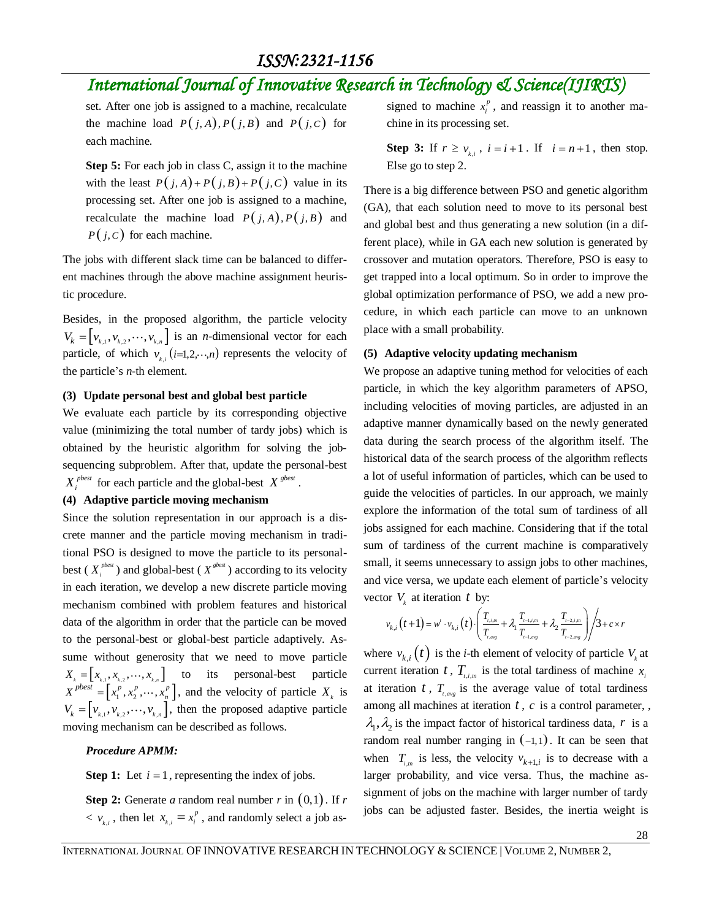# *International Journal of Innovative Research in Technology & Science(IJIRTS)*

set. After one job is assigned to a machine, recalculate the machine load  $P(j, A), P(j, B)$  and  $P(j, C)$  for each machine.

**Step 5:** For each job in class C, assign it to the machine with the least  $P(j, A) + P(j, B) + P(j, C)$  value in its processing set. After one job is assigned to a machine, recalculate the machine load  $P(j, A), P(j, B)$  and  $P(j, C)$  for each machine.

The jobs with different slack time can be balanced to different machines through the above machine assignment heuristic procedure.

Besides, in the proposed algorithm, the particle velocity  $V_k = \left[ v_{k,1}, v_{k,2}, \dots, v_{k,n} \right]$  is an *n*-dimensional vector for each particle, of which  $v_{k,i}$  (*i*=1,2, ··,*n*) represents the velocity of the particle's *n*-th element.

#### **(3) Update personal best and global best particle**

We evaluate each particle by its corresponding objective value (minimizing the total number of tardy jobs) which is obtained by the heuristic algorithm for solving the jobsequencing subproblem. After that, update the personal-best  $X_i^{pbest}$  for each particle and the global-best  $X^{gbest}$ .

### **(4) Adaptive particle moving mechanism**

Since the solution representation in our approach is a discrete manner and the particle moving mechanism in traditional PSO is designed to move the particle to its personalbest ( $X_i^{pbest}$ ) and global-best ( $X_i^{sbest}$ ) according to its velocity in each iteration, we develop a new discrete particle moving mechanism combined with problem features and historical data of the algorithm in order that the particle can be moved to the personal-best or global-best particle adaptively. Assume without generosity that we need to move particle  $X_{k} = \begin{bmatrix} x_{k,1}, x_{k,2}, \cdots, x_{k,n} \end{bmatrix}$  to its personal-best particle  $X^{pbest} = \left[x_1^p, x_2^p, \dots, x_n^p\right]$ , and the velocity of particle  $X_k$  is  $V_k = \left[ v_{k,1}, v_{k,2}, \dots, v_{k,n} \right]$ , then the proposed adaptive particle moving mechanism can be described as follows.

### *Procedure APMM:*

**Step 1:** Let  $i = 1$ , representing the index of jobs.

**Step 2:** Generate *a* random real number *r* in 0,1 . If *r*  $< v_{k,i}$ , then let  $x_{k,i}$ *p*  $x_{k,i} = x_i^p$ , and randomly select a job as-

signed to machine  $x_i^p$  $x_i^p$ , and reassign it to another machine in its processing set.

**Step 3:** If  $r \ge v_{k,i}$ ,  $i = i+1$ . If  $i = n+1$ , then stop. Else go to step 2.

There is a big difference between PSO and genetic algorithm (GA), that each solution need to move to its personal best and global best and thus generating a new solution (in a different place), while in GA each new solution is generated by crossover and mutation operators. Therefore, PSO is easy to get trapped into a local optimum. So in order to improve the global optimization performance of PSO, we add a new procedure, in which each particle can move to an unknown place with a small probability.

### **(5) Adaptive velocity updating mechanism**

We propose an adaptive tuning method for velocities of each particle, in which the key algorithm parameters of APSO, including velocities of moving particles, are adjusted in an adaptive manner dynamically based on the newly generated data during the search process of the algorithm itself. The historical data of the search process of the algorithm reflects a lot of useful information of particles, which can be used to guide the velocities of particles. In our approach, we mainly explore the information of the total sum of tardiness of all jobs assigned for each machine. Considering that if the total sum of tardiness of the current machine is comparatively small, it seems unnecessary to assign jobs to other machines, and vice versa, we update each element of particle's velocity by:<br>  $\left(\frac{T_{i,i,m}}{T_{i-1,i,m}} + \lambda \frac{T_{i-2,i,m}}{T_{i-2,i,m}}\right) / 3 + c \times r$ 

vector 
$$
V_k
$$
 at iteration  $t$  by:  
\n
$$
v_{k,i}(t+1) = w' \cdot v_{k,i}(t) \cdot \left( \frac{T_{i,i,m}}{T_{i,avg}} + \lambda_1 \frac{T_{i-1,i,m}}{T_{i-1,avg}} + \lambda_2 \frac{T_{i-2,i,m}}{T_{i-2,avg}} \right) / 3 + c \times r
$$

where  $v_{k,i}(t)$  is the *i*-th element of velocity of particle  $V_k$  at current iteration t,  $T_{i,i,m}$  is the total tardiness of machine  $x_i$ at iteration  $t$ ,  $T_{t,avg}$  is the average value of total tardiness among all machines at iteration  $t$ ,  $c$  is a control parameter, ,  $\lambda_1, \lambda_2$  is the impact factor of historical tardiness data, r is a random real number ranging in  $(-1,1)$ . It can be seen that when  $T_{i,m}$  is less, the velocity  $v_{k+1,i}$  is to decrease with a larger probability, and vice versa. Thus, the machine assignment of jobs on the machine with larger number of tardy jobs can be adjusted faster. Besides, the inertia weight is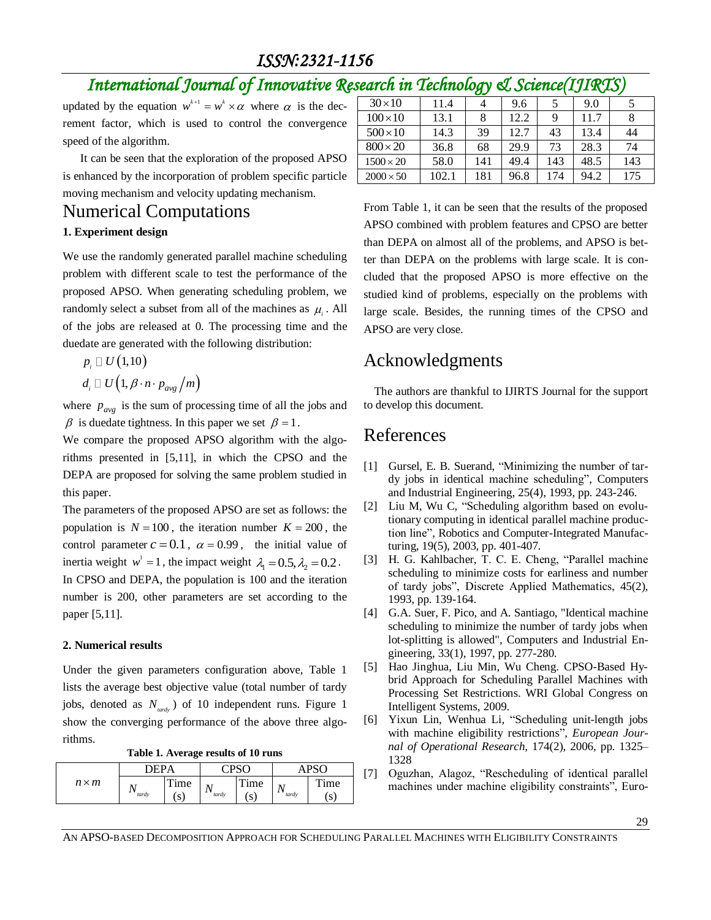### *ISSN:2321-1156*

# *International Journal of Innovative Research in Technology & Science(IJIRTS)*

updated by the equation  $w^{k+1} = w^k \times \alpha$  where  $\alpha$  is the decrement factor, which is used to control the convergence speed of the algorithm.

It can be seen that the exploration of the proposed APSO is enhanced by the incorporation of problem specific particle moving mechanism and velocity updating mechanism.

## Numerical Computations

### **1. Experiment design**

We use the randomly generated parallel machine scheduling problem with different scale to test the performance of the proposed APSO. When generating scheduling problem, we randomly select a subset from all of the machines as  $\mu_i$ . All of the jobs are released at 0. The processing time and the duedate are generated with the following distribution:

$$
p_{i} \Box U(1,10)
$$
  

$$
d_{i} \Box U(1, \beta \cdot n \cdot p_{avg}/m)
$$

where  $p_{avg}$  is the sum of processing time of all the jobs and  $\beta$  is duedate tightness. In this paper we set  $\beta = 1$ .

We compare the proposed APSO algorithm with the algorithms presented in [5,11], in which the CPSO and the DEPA are proposed for solving the same problem studied in this paper.

The parameters of the proposed APSO are set as follows: the population is  $N = 100$ , the iteration number  $K = 200$ , the control parameter  $c = 0.1$ ,  $\alpha = 0.99$ , the initial value of inertia weight  $w^1 = 1$ , the impact weight  $\lambda_1 = 0.5, \lambda_2 = 0.2$ . In CPSO and DEPA, the population is 100 and the iteration number is 200, other parameters are set according to the paper [5,11].

### **2. Numerical results**

Under the given parameters configuration above, Table 1 lists the average best objective value (total number of tardy jobs, denoted as *Ntardy* ) of 10 independent runs. Figure 1 show the converging performance of the above three algorithms.

|              |             | $\sim$     |       |            |       |            |
|--------------|-------------|------------|-------|------------|-------|------------|
|              | <b>DEPA</b> |            | ∩יחי  |            |       |            |
| $n \times m$ | tardy       | Time<br>S. | tardy | Time<br>(S | tardy | Time<br>S. |

| Table 1. Average results of 10 runs |  |  |
|-------------------------------------|--|--|
|                                     |  |  |

| <i>Caroli in Lochnowy</i><br>$\omega$ overlead $\omega$ |       |     |      |     |      |     |  |
|---------------------------------------------------------|-------|-----|------|-----|------|-----|--|
| $30 \times 10$                                          | 11.4  |     | 9.6  | 5   | 9.0  |     |  |
| $100\times10$                                           | 13.1  | 8   | 12.2 | Q   | 11.7 |     |  |
| $500\times10$                                           | 14.3  | 39  | 12.7 | 43  | 13.4 | 44  |  |
| $800 \times 20$                                         | 36.8  | 68  | 29.9 | 73  | 28.3 | 74  |  |
| $1500 \times 20$                                        | 58.0  | 141 | 49.4 | 143 | 48.5 | 143 |  |
| $2000 \times 50$                                        | 102.1 | 181 | 96.8 | 174 | 94.2 | 175 |  |
|                                                         |       |     |      |     |      |     |  |

From Table 1, it can be seen that the results of the proposed APSO combined with problem features and CPSO are better than DEPA on almost all of the problems, and APSO is better than DEPA on the problems with large scale. It is concluded that the proposed APSO is more effective on the studied kind of problems, especially on the problems with large scale. Besides, the running times of the CPSO and APSO are very close.

## Acknowledgments

The authors are thankful to IJIRTS Journal for the support to develop this document.

## References

- [1] Gursel, E. B. Suerand, "Minimizing the number of tardy jobs in identical machine scheduling", Computers and Industrial Engineering, 25(4), 1993, pp. 243-246.
- [2] Liu M, Wu C, "Scheduling algorithm based on evolutionary computing in identical parallel machine production line", Robotics and Computer-Integrated Manufacturing, 19(5), 2003, pp. 401-407.
- [3] H. G. Kahlbacher, T. C. E. Cheng, "Parallel machine scheduling to minimize costs for earliness and number of tardy jobs", Discrete Applied Mathematics, 45(2), 1993, pp. 139-164.
- [4] G.A. Suer, F. Pico, and A. Santiago, "Identical machine scheduling to minimize the number of tardy jobs when lot-splitting is allowed", Computers and Industrial Engineering, 33(1), 1997, pp. 277-280.
- [5] Hao Jinghua, Liu Min, Wu Cheng. CPSO-Based Hybrid Approach for Scheduling Parallel Machines with Processing Set Restrictions. WRI Global Congress on Intelligent Systems, 2009.
- [6] Yixun Lin, Wenhua Li, "Scheduling unit-length jobs with machine eligibility restrictions", *European Journal of Operational Research*, 174(2), 2006, pp. 1325– 1328
- [7] Oguzhan, Alagoz, "Rescheduling of identical parallel machines under machine eligibility constraints", Euro-